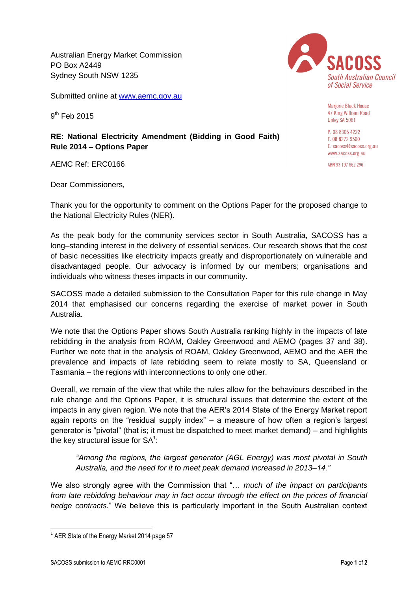Australian Energy Market Commission PO Box A2449 Sydney South NSW 1235

Submitted online at [www.aemc.gov.au](http://www.aemc.gov.au/)

9<sup>th</sup> Feb 2015

## **RE: National Electricity Amendment (Bidding in Good Faith) Rule 2014 – Options Paper**

AEMC Ref: ERC0166

Dear Commissioners,



**Marjorie Black House** 47 King William Road Unley SA 5061

P. 08 8305 4222 F. 08 8272 9500 E. sacoss@sacoss.org.au www.sacoss.org.au

ABN 93 197 662 296

Thank you for the opportunity to comment on the Options Paper for the proposed change to the National Electricity Rules (NER).

As the peak body for the community services sector in South Australia, SACOSS has a long–standing interest in the delivery of essential services. Our research shows that the cost of basic necessities like electricity impacts greatly and disproportionately on vulnerable and disadvantaged people. Our advocacy is informed by our members; organisations and individuals who witness theses impacts in our community.

SACOSS made a detailed submission to the Consultation Paper for this rule change in May 2014 that emphasised our concerns regarding the exercise of market power in South Australia.

We note that the Options Paper shows South Australia ranking highly in the impacts of late rebidding in the analysis from ROAM, Oakley Greenwood and AEMO (pages 37 and 38). Further we note that in the analysis of ROAM, Oakley Greenwood, AEMO and the AER the prevalence and impacts of late rebidding seem to relate mostly to SA, Queensland or Tasmania – the regions with interconnections to only one other.

Overall, we remain of the view that while the rules allow for the behaviours described in the rule change and the Options Paper, it is structural issues that determine the extent of the impacts in any given region. We note that the AER's 2014 State of the Energy Market report again reports on the "residual supply index" – a measure of how often a region's largest generator is "pivotal" (that is; it must be dispatched to meet market demand) – and highlights the key structural issue for  $SA<sup>1</sup>$ :

*"Among the regions, the largest generator (AGL Energy) was most pivotal in South Australia, and the need for it to meet peak demand increased in 2013–14."*

We also strongly agree with the Commission that "… *much of the impact on participants from late rebidding behaviour may in fact occur through the effect on the prices of financial hedge contracts.*" We believe this is particularly important in the South Australian context

**.** 

 $<sup>1</sup>$  AER State of the Energy Market 2014 page 57</sup>